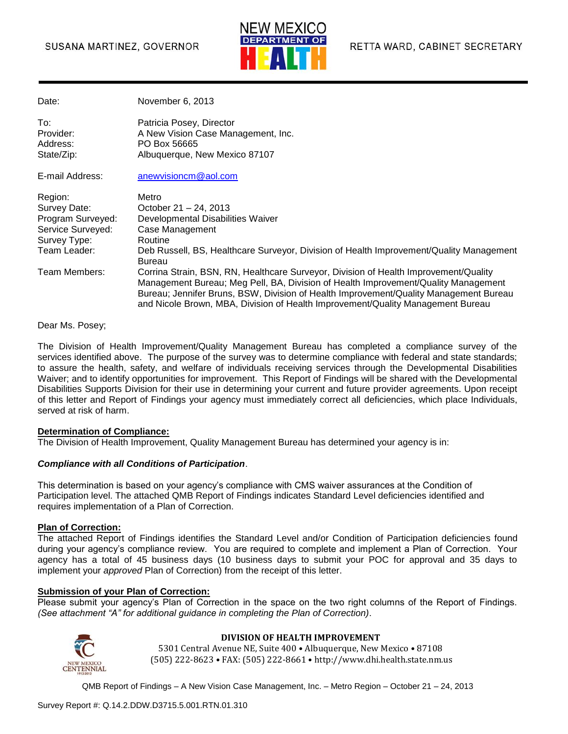#### SUSANA MARTINEZ, GOVERNOR



| Date:                                                                                             | November 6, 2013                                                                                                                                                                                                                                                                                                                                       |
|---------------------------------------------------------------------------------------------------|--------------------------------------------------------------------------------------------------------------------------------------------------------------------------------------------------------------------------------------------------------------------------------------------------------------------------------------------------------|
| To:<br>Provider:<br>Address:<br>State/Zip:                                                        | Patricia Posey, Director<br>A New Vision Case Management, Inc.<br>PO Box 56665<br>Albuquerque, New Mexico 87107                                                                                                                                                                                                                                        |
| E-mail Address:                                                                                   | anewvisioncm@aol.com                                                                                                                                                                                                                                                                                                                                   |
| Region:<br>Survey Date:<br>Program Surveyed:<br>Service Surveyed:<br>Survey Type:<br>Team Leader: | Metro<br>October 21 - 24, 2013<br>Developmental Disabilities Waiver<br>Case Management<br>Routine<br>Deb Russell, BS, Healthcare Surveyor, Division of Health Improvement/Quality Management<br><b>Bureau</b>                                                                                                                                          |
| Team Members:                                                                                     | Corrina Strain, BSN, RN, Healthcare Surveyor, Division of Health Improvement/Quality<br>Management Bureau; Meg Pell, BA, Division of Health Improvement/Quality Management<br>Bureau; Jennifer Bruns, BSW, Division of Health Improvement/Quality Management Bureau<br>and Nicole Brown, MBA, Division of Health Improvement/Quality Management Bureau |

Dear Ms. Posey;

The Division of Health Improvement/Quality Management Bureau has completed a compliance survey of the services identified above. The purpose of the survey was to determine compliance with federal and state standards; to assure the health, safety, and welfare of individuals receiving services through the Developmental Disabilities Waiver; and to identify opportunities for improvement. This Report of Findings will be shared with the Developmental Disabilities Supports Division for their use in determining your current and future provider agreements. Upon receipt of this letter and Report of Findings your agency must immediately correct all deficiencies, which place Individuals, served at risk of harm.

#### **Determination of Compliance:**

The Division of Health Improvement, Quality Management Bureau has determined your agency is in:

#### *Compliance with all Conditions of Participation*.

This determination is based on your agency's compliance with CMS waiver assurances at the Condition of Participation level. The attached QMB Report of Findings indicates Standard Level deficiencies identified and requires implementation of a Plan of Correction.

#### **Plan of Correction:**

The attached Report of Findings identifies the Standard Level and/or Condition of Participation deficiencies found during your agency's compliance review. You are required to complete and implement a Plan of Correction. Your agency has a total of 45 business days (10 business days to submit your POC for approval and 35 days to implement your *approved* Plan of Correction) from the receipt of this letter.

#### **Submission of your Plan of Correction:**

Please submit your agency's Plan of Correction in the space on the two right columns of the Report of Findings. *(See attachment "A" for additional guidance in completing the Plan of Correction)*.



#### **DIVISION OF HEALTH IMPROVEMENT**

5301 Central Avenue NE, Suite 400 • Albuquerque, New Mexico • 87108 (505) 222-8623 • FAX: (505) 222-8661 • http://www.dhi.health.state.nm.us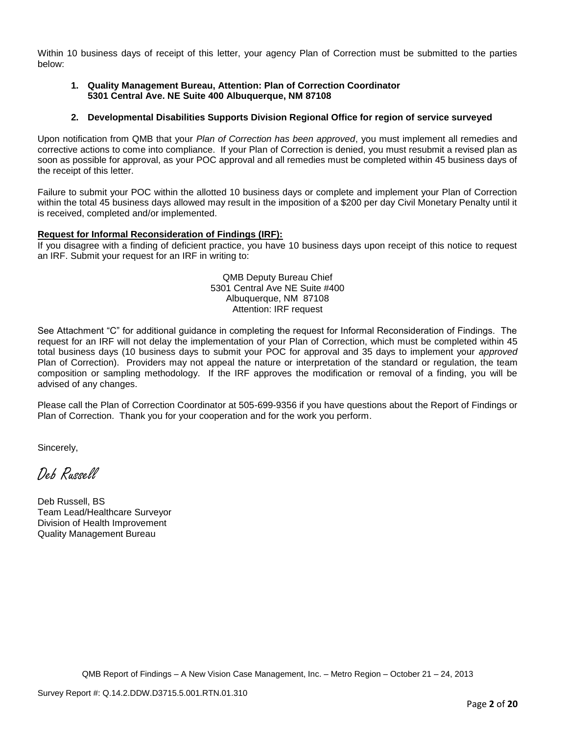Within 10 business days of receipt of this letter, your agency Plan of Correction must be submitted to the parties below:

#### **1. Quality Management Bureau, Attention: Plan of Correction Coordinator 5301 Central Ave. NE Suite 400 Albuquerque, NM 87108**

#### **2. Developmental Disabilities Supports Division Regional Office for region of service surveyed**

Upon notification from QMB that your *Plan of Correction has been approved*, you must implement all remedies and corrective actions to come into compliance. If your Plan of Correction is denied, you must resubmit a revised plan as soon as possible for approval, as your POC approval and all remedies must be completed within 45 business days of the receipt of this letter.

Failure to submit your POC within the allotted 10 business days or complete and implement your Plan of Correction within the total 45 business days allowed may result in the imposition of a \$200 per day Civil Monetary Penalty until it is received, completed and/or implemented.

#### **Request for Informal Reconsideration of Findings (IRF):**

If you disagree with a finding of deficient practice, you have 10 business days upon receipt of this notice to request an IRF. Submit your request for an IRF in writing to:

> QMB Deputy Bureau Chief 5301 Central Ave NE Suite #400 Albuquerque, NM 87108 Attention: IRF request

See Attachment "C" for additional guidance in completing the request for Informal Reconsideration of Findings. The request for an IRF will not delay the implementation of your Plan of Correction, which must be completed within 45 total business days (10 business days to submit your POC for approval and 35 days to implement your *approved* Plan of Correction). Providers may not appeal the nature or interpretation of the standard or regulation, the team composition or sampling methodology. If the IRF approves the modification or removal of a finding, you will be advised of any changes.

Please call the Plan of Correction Coordinator at 505-699-9356 if you have questions about the Report of Findings or Plan of Correction. Thank you for your cooperation and for the work you perform.

Sincerely,

Deb Russell

Deb Russell, BS Team Lead/Healthcare Surveyor Division of Health Improvement Quality Management Bureau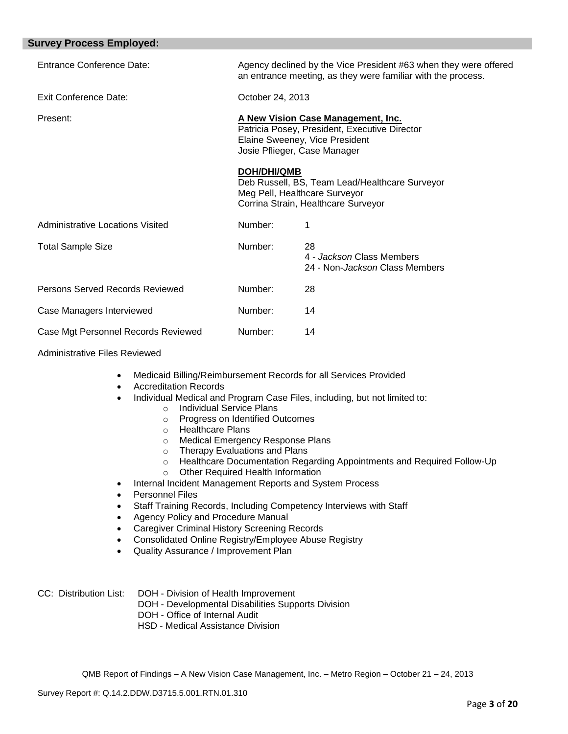| Entrance Conference Date:               |                                                                                                                                                       | Agency declined by the Vice President #63 when they were offered<br>an entrance meeting, as they were familiar with the process. |  |
|-----------------------------------------|-------------------------------------------------------------------------------------------------------------------------------------------------------|----------------------------------------------------------------------------------------------------------------------------------|--|
| <b>Exit Conference Date:</b>            | October 24, 2013                                                                                                                                      |                                                                                                                                  |  |
| Present:                                | A New Vision Case Management, Inc.<br>Patricia Posey, President, Executive Director<br>Elaine Sweeney, Vice President<br>Josie Pflieger, Case Manager |                                                                                                                                  |  |
|                                         | DOH/DHI/QMB                                                                                                                                           | Deb Russell, BS, Team Lead/Healthcare Surveyor<br>Meg Pell, Healthcare Surveyor<br>Corrina Strain, Healthcare Surveyor           |  |
| <b>Administrative Locations Visited</b> | Number:                                                                                                                                               |                                                                                                                                  |  |
| <b>Total Sample Size</b>                | Number:                                                                                                                                               | 28<br>4 - Jackson Class Members<br>24 - Non- <i>Jackson</i> Class Members                                                        |  |
| Persons Served Records Reviewed         | Number:                                                                                                                                               | 28                                                                                                                               |  |
| Case Managers Interviewed               | Number:                                                                                                                                               | 14                                                                                                                               |  |
| Case Mgt Personnel Records Reviewed     | Number:                                                                                                                                               | 14                                                                                                                               |  |

Administrative Files Reviewed

- Medicaid Billing/Reimbursement Records for all Services Provided
- Accreditation Records
- Individual Medical and Program Case Files, including, but not limited to:
	- o Individual Service Plans
		- o Progress on Identified Outcomes
		- o Healthcare Plans
		- o Medical Emergency Response Plans
		- o Therapy Evaluations and Plans
		- o Healthcare Documentation Regarding Appointments and Required Follow-Up
		- o Other Required Health Information
- Internal Incident Management Reports and System Process
- Personnel Files
- Staff Training Records, Including Competency Interviews with Staff
- Agency Policy and Procedure Manual
- Caregiver Criminal History Screening Records
- Consolidated Online Registry/Employee Abuse Registry
- Quality Assurance / Improvement Plan

CC: Distribution List: DOH - Division of Health Improvement

- DOH Developmental Disabilities Supports Division
- DOH Office of Internal Audit
- HSD Medical Assistance Division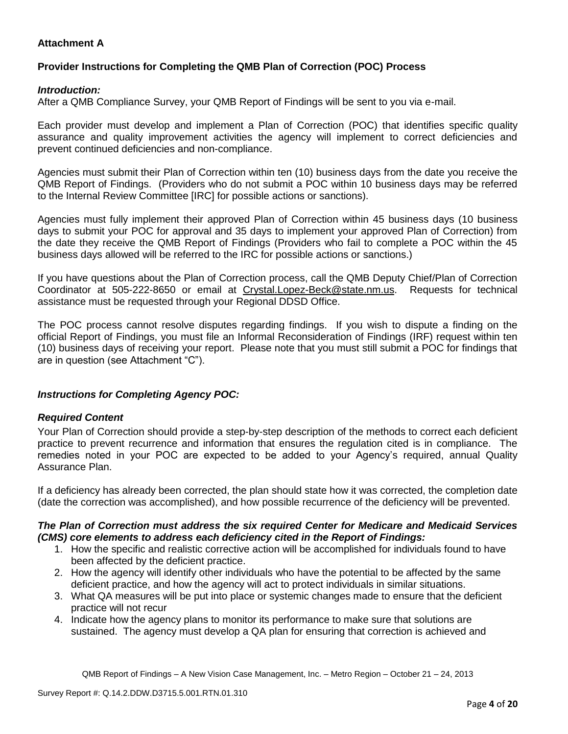## **Attachment A**

## **Provider Instructions for Completing the QMB Plan of Correction (POC) Process**

### *Introduction:*

After a QMB Compliance Survey, your QMB Report of Findings will be sent to you via e-mail.

Each provider must develop and implement a Plan of Correction (POC) that identifies specific quality assurance and quality improvement activities the agency will implement to correct deficiencies and prevent continued deficiencies and non-compliance.

Agencies must submit their Plan of Correction within ten (10) business days from the date you receive the QMB Report of Findings. (Providers who do not submit a POC within 10 business days may be referred to the Internal Review Committee [IRC] for possible actions or sanctions).

Agencies must fully implement their approved Plan of Correction within 45 business days (10 business days to submit your POC for approval and 35 days to implement your approved Plan of Correction) from the date they receive the QMB Report of Findings (Providers who fail to complete a POC within the 45 business days allowed will be referred to the IRC for possible actions or sanctions.)

If you have questions about the Plan of Correction process, call the QMB Deputy Chief/Plan of Correction Coordinator at 505-222-8650 or email at Crystal.Lopez-Beck@state.nm.us. Requests for technical assistance must be requested through your Regional DDSD Office.

The POC process cannot resolve disputes regarding findings. If you wish to dispute a finding on the official Report of Findings, you must file an Informal Reconsideration of Findings (IRF) request within ten (10) business days of receiving your report. Please note that you must still submit a POC for findings that are in question (see Attachment "C").

## *Instructions for Completing Agency POC:*

#### *Required Content*

Your Plan of Correction should provide a step-by-step description of the methods to correct each deficient practice to prevent recurrence and information that ensures the regulation cited is in compliance. The remedies noted in your POC are expected to be added to your Agency's required, annual Quality Assurance Plan.

If a deficiency has already been corrected, the plan should state how it was corrected, the completion date (date the correction was accomplished), and how possible recurrence of the deficiency will be prevented.

#### *The Plan of Correction must address the six required Center for Medicare and Medicaid Services (CMS) core elements to address each deficiency cited in the Report of Findings:*

- 1. How the specific and realistic corrective action will be accomplished for individuals found to have been affected by the deficient practice.
- 2. How the agency will identify other individuals who have the potential to be affected by the same deficient practice, and how the agency will act to protect individuals in similar situations.
- 3. What QA measures will be put into place or systemic changes made to ensure that the deficient practice will not recur
- 4. Indicate how the agency plans to monitor its performance to make sure that solutions are sustained. The agency must develop a QA plan for ensuring that correction is achieved and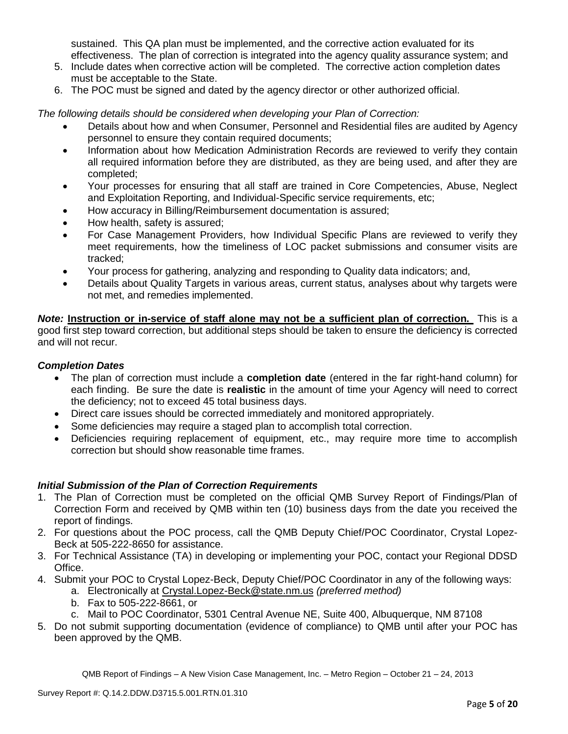sustained. This QA plan must be implemented, and the corrective action evaluated for its effectiveness. The plan of correction is integrated into the agency quality assurance system; and

- 5. Include dates when corrective action will be completed. The corrective action completion dates must be acceptable to the State.
- 6. The POC must be signed and dated by the agency director or other authorized official.

*The following details should be considered when developing your Plan of Correction:*

- Details about how and when Consumer, Personnel and Residential files are audited by Agency personnel to ensure they contain required documents;
- Information about how Medication Administration Records are reviewed to verify they contain all required information before they are distributed, as they are being used, and after they are completed;
- Your processes for ensuring that all staff are trained in Core Competencies, Abuse, Neglect and Exploitation Reporting, and Individual-Specific service requirements, etc;
- How accuracy in Billing/Reimbursement documentation is assured;
- How health, safety is assured;
- For Case Management Providers, how Individual Specific Plans are reviewed to verify they meet requirements, how the timeliness of LOC packet submissions and consumer visits are tracked;
- Your process for gathering, analyzing and responding to Quality data indicators; and,
- Details about Quality Targets in various areas, current status, analyses about why targets were not met, and remedies implemented.

*Note:* **Instruction or in-service of staff alone may not be a sufficient plan of correction.** This is a good first step toward correction, but additional steps should be taken to ensure the deficiency is corrected and will not recur.

## *Completion Dates*

- The plan of correction must include a **completion date** (entered in the far right-hand column) for each finding. Be sure the date is **realistic** in the amount of time your Agency will need to correct the deficiency; not to exceed 45 total business days.
- Direct care issues should be corrected immediately and monitored appropriately.
- Some deficiencies may require a staged plan to accomplish total correction.
- Deficiencies requiring replacement of equipment, etc., may require more time to accomplish correction but should show reasonable time frames.

## *Initial Submission of the Plan of Correction Requirements*

- 1. The Plan of Correction must be completed on the official QMB Survey Report of Findings/Plan of Correction Form and received by QMB within ten (10) business days from the date you received the report of findings.
- 2. For questions about the POC process, call the QMB Deputy Chief/POC Coordinator, Crystal Lopez-Beck at 505-222-8650 for assistance.
- 3. For Technical Assistance (TA) in developing or implementing your POC, contact your Regional DDSD Office.
- 4. Submit your POC to Crystal Lopez-Beck, Deputy Chief/POC Coordinator in any of the following ways:
	- a. Electronically at Crystal.Lopez-Beck@state.nm.us *(preferred method)*
		- b. Fax to 505-222-8661, or
		- c. Mail to POC Coordinator, 5301 Central Avenue NE, Suite 400, Albuquerque, NM 87108
- 5. Do not submit supporting documentation (evidence of compliance) to QMB until after your POC has been approved by the QMB.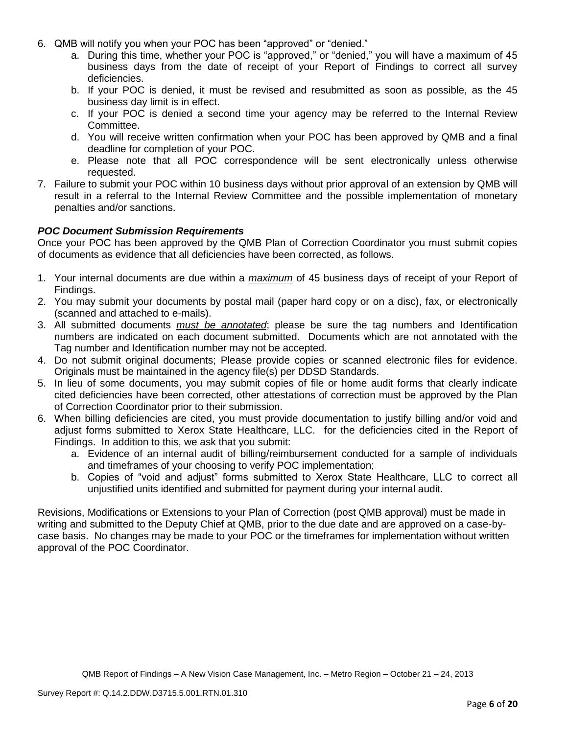- 6. QMB will notify you when your POC has been "approved" or "denied."
	- a. During this time, whether your POC is "approved," or "denied," you will have a maximum of 45 business days from the date of receipt of your Report of Findings to correct all survey deficiencies.
	- b. If your POC is denied, it must be revised and resubmitted as soon as possible, as the 45 business day limit is in effect.
	- c. If your POC is denied a second time your agency may be referred to the Internal Review Committee.
	- d. You will receive written confirmation when your POC has been approved by QMB and a final deadline for completion of your POC.
	- e. Please note that all POC correspondence will be sent electronically unless otherwise requested.
- 7. Failure to submit your POC within 10 business days without prior approval of an extension by QMB will result in a referral to the Internal Review Committee and the possible implementation of monetary penalties and/or sanctions.

### *POC Document Submission Requirements*

Once your POC has been approved by the QMB Plan of Correction Coordinator you must submit copies of documents as evidence that all deficiencies have been corrected, as follows.

- 1. Your internal documents are due within a *maximum* of 45 business days of receipt of your Report of Findings.
- 2. You may submit your documents by postal mail (paper hard copy or on a disc), fax, or electronically (scanned and attached to e-mails).
- 3. All submitted documents *must be annotated*; please be sure the tag numbers and Identification numbers are indicated on each document submitted. Documents which are not annotated with the Tag number and Identification number may not be accepted.
- 4. Do not submit original documents; Please provide copies or scanned electronic files for evidence. Originals must be maintained in the agency file(s) per DDSD Standards.
- 5. In lieu of some documents, you may submit copies of file or home audit forms that clearly indicate cited deficiencies have been corrected, other attestations of correction must be approved by the Plan of Correction Coordinator prior to their submission.
- 6. When billing deficiencies are cited, you must provide documentation to justify billing and/or void and adjust forms submitted to Xerox State Healthcare, LLC. for the deficiencies cited in the Report of Findings. In addition to this, we ask that you submit:
	- a. Evidence of an internal audit of billing/reimbursement conducted for a sample of individuals and timeframes of your choosing to verify POC implementation;
	- b. Copies of "void and adjust" forms submitted to Xerox State Healthcare, LLC to correct all unjustified units identified and submitted for payment during your internal audit.

Revisions, Modifications or Extensions to your Plan of Correction (post QMB approval) must be made in writing and submitted to the Deputy Chief at QMB, prior to the due date and are approved on a case-bycase basis. No changes may be made to your POC or the timeframes for implementation without written approval of the POC Coordinator.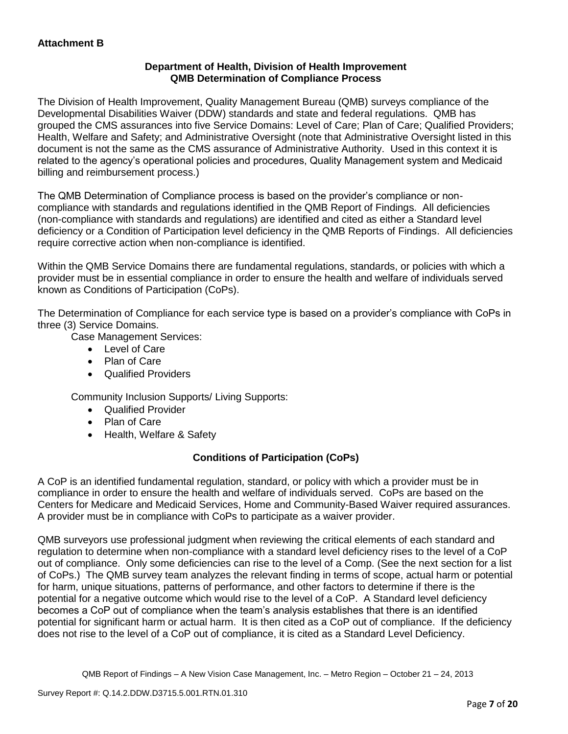## **Department of Health, Division of Health Improvement QMB Determination of Compliance Process**

The Division of Health Improvement, Quality Management Bureau (QMB) surveys compliance of the Developmental Disabilities Waiver (DDW) standards and state and federal regulations. QMB has grouped the CMS assurances into five Service Domains: Level of Care; Plan of Care; Qualified Providers; Health, Welfare and Safety; and Administrative Oversight (note that Administrative Oversight listed in this document is not the same as the CMS assurance of Administrative Authority. Used in this context it is related to the agency's operational policies and procedures, Quality Management system and Medicaid billing and reimbursement process.)

The QMB Determination of Compliance process is based on the provider's compliance or noncompliance with standards and regulations identified in the QMB Report of Findings. All deficiencies (non-compliance with standards and regulations) are identified and cited as either a Standard level deficiency or a Condition of Participation level deficiency in the QMB Reports of Findings. All deficiencies require corrective action when non-compliance is identified.

Within the QMB Service Domains there are fundamental regulations, standards, or policies with which a provider must be in essential compliance in order to ensure the health and welfare of individuals served known as Conditions of Participation (CoPs).

The Determination of Compliance for each service type is based on a provider's compliance with CoPs in three (3) Service Domains.

Case Management Services:

- Level of Care
- Plan of Care
- Qualified Providers

Community Inclusion Supports/ Living Supports:

- Qualified Provider
- Plan of Care
- Health, Welfare & Safety

# **Conditions of Participation (CoPs)**

A CoP is an identified fundamental regulation, standard, or policy with which a provider must be in compliance in order to ensure the health and welfare of individuals served. CoPs are based on the Centers for Medicare and Medicaid Services, Home and Community-Based Waiver required assurances. A provider must be in compliance with CoPs to participate as a waiver provider.

QMB surveyors use professional judgment when reviewing the critical elements of each standard and regulation to determine when non-compliance with a standard level deficiency rises to the level of a CoP out of compliance. Only some deficiencies can rise to the level of a Comp. (See the next section for a list of CoPs.) The QMB survey team analyzes the relevant finding in terms of scope, actual harm or potential for harm, unique situations, patterns of performance, and other factors to determine if there is the potential for a negative outcome which would rise to the level of a CoP. A Standard level deficiency becomes a CoP out of compliance when the team's analysis establishes that there is an identified potential for significant harm or actual harm. It is then cited as a CoP out of compliance. If the deficiency does not rise to the level of a CoP out of compliance, it is cited as a Standard Level Deficiency.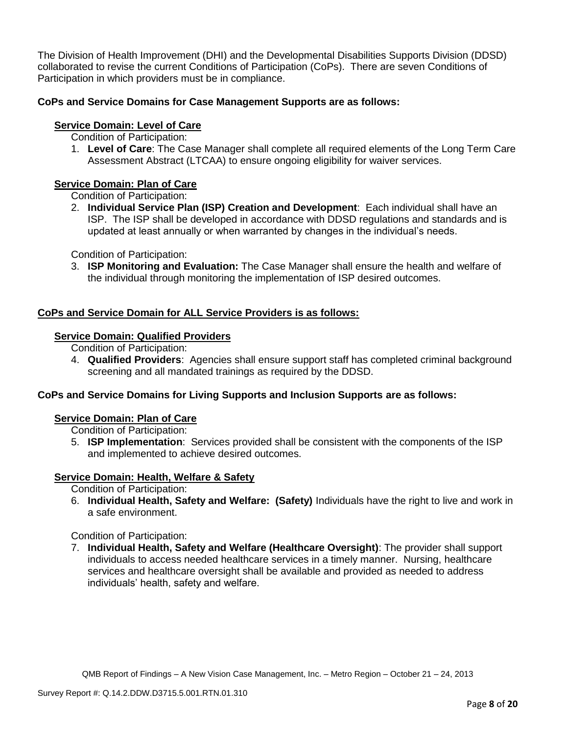The Division of Health Improvement (DHI) and the Developmental Disabilities Supports Division (DDSD) collaborated to revise the current Conditions of Participation (CoPs). There are seven Conditions of Participation in which providers must be in compliance.

## **CoPs and Service Domains for Case Management Supports are as follows:**

## **Service Domain: Level of Care**

- Condition of Participation:
- 1. **Level of Care**: The Case Manager shall complete all required elements of the Long Term Care Assessment Abstract (LTCAA) to ensure ongoing eligibility for waiver services.

# **Service Domain: Plan of Care**

Condition of Participation:

2. **Individual Service Plan (ISP) Creation and Development**: Each individual shall have an ISP. The ISP shall be developed in accordance with DDSD regulations and standards and is updated at least annually or when warranted by changes in the individual's needs.

Condition of Participation:

3. **ISP Monitoring and Evaluation:** The Case Manager shall ensure the health and welfare of the individual through monitoring the implementation of ISP desired outcomes.

## **CoPs and Service Domain for ALL Service Providers is as follows:**

## **Service Domain: Qualified Providers**

- Condition of Participation:
- 4. **Qualified Providers**: Agencies shall ensure support staff has completed criminal background screening and all mandated trainings as required by the DDSD.

## **CoPs and Service Domains for Living Supports and Inclusion Supports are as follows:**

#### **Service Domain: Plan of Care**

Condition of Participation:

5. **ISP Implementation**: Services provided shall be consistent with the components of the ISP and implemented to achieve desired outcomes.

## **Service Domain: Health, Welfare & Safety**

Condition of Participation:

6. **Individual Health, Safety and Welfare: (Safety)** Individuals have the right to live and work in a safe environment.

Condition of Participation:

7. **Individual Health, Safety and Welfare (Healthcare Oversight)**: The provider shall support individuals to access needed healthcare services in a timely manner. Nursing, healthcare services and healthcare oversight shall be available and provided as needed to address individuals' health, safety and welfare.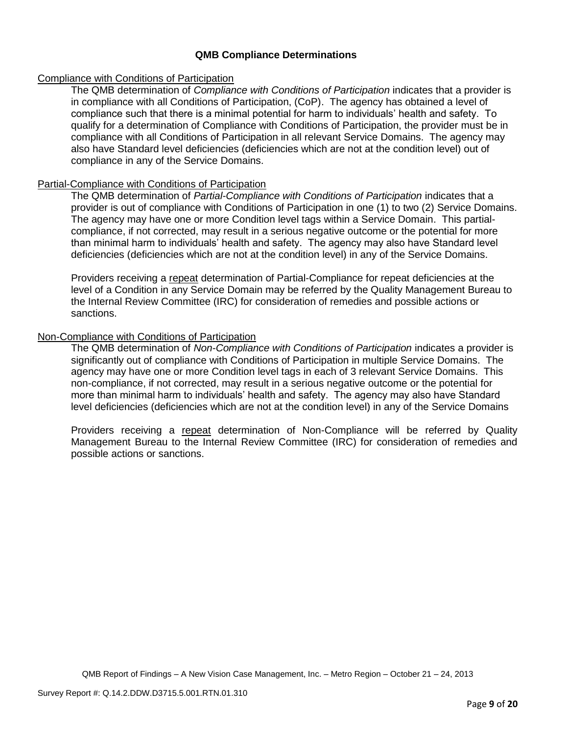### **QMB Compliance Determinations**

#### Compliance with Conditions of Participation

The QMB determination of *Compliance with Conditions of Participation* indicates that a provider is in compliance with all Conditions of Participation, (CoP). The agency has obtained a level of compliance such that there is a minimal potential for harm to individuals' health and safety. To qualify for a determination of Compliance with Conditions of Participation, the provider must be in compliance with all Conditions of Participation in all relevant Service Domains. The agency may also have Standard level deficiencies (deficiencies which are not at the condition level) out of compliance in any of the Service Domains.

### Partial-Compliance with Conditions of Participation

The QMB determination of *Partial-Compliance with Conditions of Participation* indicates that a provider is out of compliance with Conditions of Participation in one (1) to two (2) Service Domains. The agency may have one or more Condition level tags within a Service Domain. This partialcompliance, if not corrected, may result in a serious negative outcome or the potential for more than minimal harm to individuals' health and safety. The agency may also have Standard level deficiencies (deficiencies which are not at the condition level) in any of the Service Domains.

Providers receiving a repeat determination of Partial-Compliance for repeat deficiencies at the level of a Condition in any Service Domain may be referred by the Quality Management Bureau to the Internal Review Committee (IRC) for consideration of remedies and possible actions or sanctions.

### Non-Compliance with Conditions of Participation

The QMB determination of *Non-Compliance with Conditions of Participation* indicates a provider is significantly out of compliance with Conditions of Participation in multiple Service Domains. The agency may have one or more Condition level tags in each of 3 relevant Service Domains. This non-compliance, if not corrected, may result in a serious negative outcome or the potential for more than minimal harm to individuals' health and safety. The agency may also have Standard level deficiencies (deficiencies which are not at the condition level) in any of the Service Domains

Providers receiving a repeat determination of Non-Compliance will be referred by Quality Management Bureau to the Internal Review Committee (IRC) for consideration of remedies and possible actions or sanctions.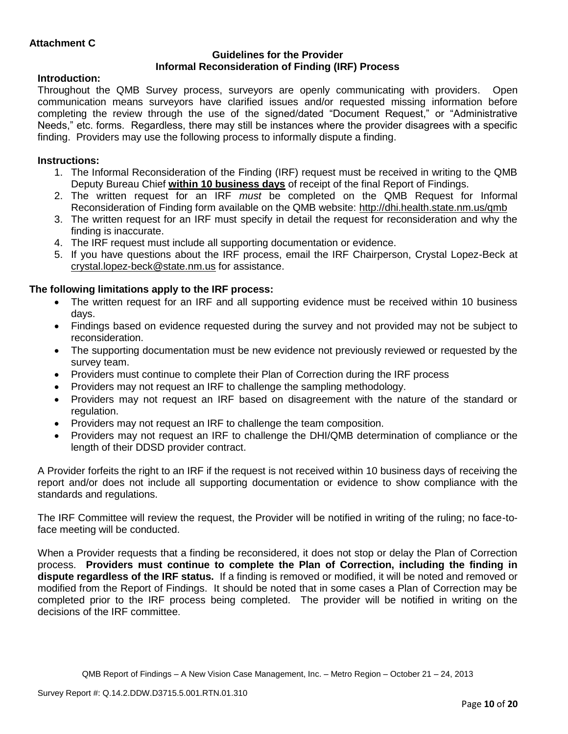### **Guidelines for the Provider Informal Reconsideration of Finding (IRF) Process**

## **Introduction:**

Throughout the QMB Survey process, surveyors are openly communicating with providers. Open communication means surveyors have clarified issues and/or requested missing information before completing the review through the use of the signed/dated "Document Request," or "Administrative Needs," etc. forms. Regardless, there may still be instances where the provider disagrees with a specific finding. Providers may use the following process to informally dispute a finding.

# **Instructions:**

- 1. The Informal Reconsideration of the Finding (IRF) request must be received in writing to the QMB Deputy Bureau Chief **within 10 business days** of receipt of the final Report of Findings.
- 2. The written request for an IRF *must* be completed on the QMB Request for Informal Reconsideration of Finding form available on the QMB website:<http://dhi.health.state.nm.us/qmb>
- 3. The written request for an IRF must specify in detail the request for reconsideration and why the finding is inaccurate.
- 4. The IRF request must include all supporting documentation or evidence.
- 5. If you have questions about the IRF process, email the IRF Chairperson, Crystal Lopez-Beck at [crystal.lopez-beck@state.nm.us](mailto:crystal.lopez-beck@state.nm.us) for assistance.

# **The following limitations apply to the IRF process:**

- The written request for an IRF and all supporting evidence must be received within 10 business days.
- Findings based on evidence requested during the survey and not provided may not be subject to reconsideration.
- The supporting documentation must be new evidence not previously reviewed or requested by the survey team.
- Providers must continue to complete their Plan of Correction during the IRF process
- Providers may not request an IRF to challenge the sampling methodology.
- Providers may not request an IRF based on disagreement with the nature of the standard or regulation.
- Providers may not request an IRF to challenge the team composition.
- Providers may not request an IRF to challenge the DHI/QMB determination of compliance or the length of their DDSD provider contract.

A Provider forfeits the right to an IRF if the request is not received within 10 business days of receiving the report and/or does not include all supporting documentation or evidence to show compliance with the standards and regulations.

The IRF Committee will review the request, the Provider will be notified in writing of the ruling; no face-toface meeting will be conducted.

When a Provider requests that a finding be reconsidered, it does not stop or delay the Plan of Correction process. **Providers must continue to complete the Plan of Correction, including the finding in dispute regardless of the IRF status.** If a finding is removed or modified, it will be noted and removed or modified from the Report of Findings. It should be noted that in some cases a Plan of Correction may be completed prior to the IRF process being completed. The provider will be notified in writing on the decisions of the IRF committee.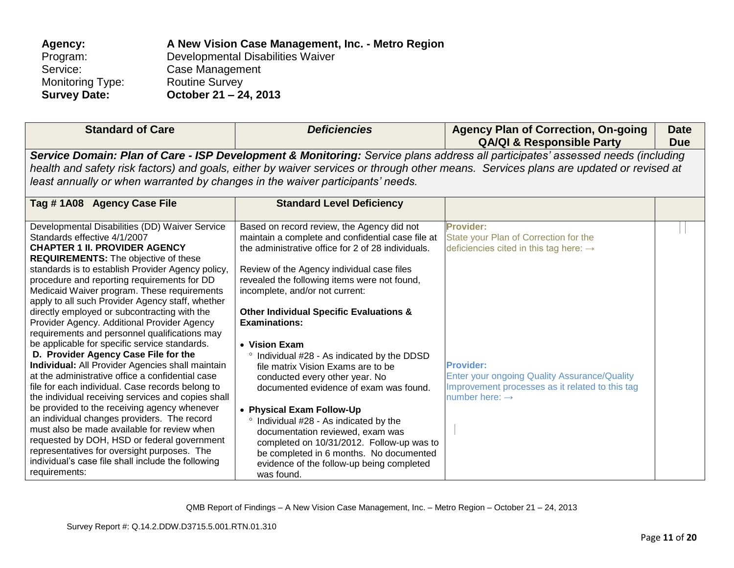| A New Vision Case Management, Inc. - Metro Region |
|---------------------------------------------------|
| Developmental Disabilities Waiver                 |
| Case Management                                   |
| <b>Routine Survey</b>                             |
| October 21 – 24, 2013                             |
|                                                   |

| <b>Standard of Care</b>                                                                                                                                                                                                                                                                                                                                                                                                                                                                                                                                                                                                                                                                                                                                                                                                                                                                                                                                                                                                                                                                                                                                           | <b>Deficiencies</b>                                                                                                                                                                                                                                                                                                                                                                                                                                                                                                                                                                                                                                                                                                                                                                                                             | <b>Agency Plan of Correction, On-going</b><br><b>QA/QI &amp; Responsible Party</b>                                                                                                                                                                                   | <b>Date</b><br><b>Due</b> |  |  |
|-------------------------------------------------------------------------------------------------------------------------------------------------------------------------------------------------------------------------------------------------------------------------------------------------------------------------------------------------------------------------------------------------------------------------------------------------------------------------------------------------------------------------------------------------------------------------------------------------------------------------------------------------------------------------------------------------------------------------------------------------------------------------------------------------------------------------------------------------------------------------------------------------------------------------------------------------------------------------------------------------------------------------------------------------------------------------------------------------------------------------------------------------------------------|---------------------------------------------------------------------------------------------------------------------------------------------------------------------------------------------------------------------------------------------------------------------------------------------------------------------------------------------------------------------------------------------------------------------------------------------------------------------------------------------------------------------------------------------------------------------------------------------------------------------------------------------------------------------------------------------------------------------------------------------------------------------------------------------------------------------------------|----------------------------------------------------------------------------------------------------------------------------------------------------------------------------------------------------------------------------------------------------------------------|---------------------------|--|--|
| Service Domain: Plan of Care - ISP Development & Monitoring: Service plans address all participates' assessed needs (including                                                                                                                                                                                                                                                                                                                                                                                                                                                                                                                                                                                                                                                                                                                                                                                                                                                                                                                                                                                                                                    |                                                                                                                                                                                                                                                                                                                                                                                                                                                                                                                                                                                                                                                                                                                                                                                                                                 |                                                                                                                                                                                                                                                                      |                           |  |  |
|                                                                                                                                                                                                                                                                                                                                                                                                                                                                                                                                                                                                                                                                                                                                                                                                                                                                                                                                                                                                                                                                                                                                                                   | health and safety risk factors) and goals, either by waiver services or through other means. Services plans are updated or revised at<br>least annually or when warranted by changes in the waiver participants' needs.                                                                                                                                                                                                                                                                                                                                                                                                                                                                                                                                                                                                         |                                                                                                                                                                                                                                                                      |                           |  |  |
|                                                                                                                                                                                                                                                                                                                                                                                                                                                                                                                                                                                                                                                                                                                                                                                                                                                                                                                                                                                                                                                                                                                                                                   |                                                                                                                                                                                                                                                                                                                                                                                                                                                                                                                                                                                                                                                                                                                                                                                                                                 |                                                                                                                                                                                                                                                                      |                           |  |  |
| Tag #1A08 Agency Case File                                                                                                                                                                                                                                                                                                                                                                                                                                                                                                                                                                                                                                                                                                                                                                                                                                                                                                                                                                                                                                                                                                                                        | <b>Standard Level Deficiency</b>                                                                                                                                                                                                                                                                                                                                                                                                                                                                                                                                                                                                                                                                                                                                                                                                |                                                                                                                                                                                                                                                                      |                           |  |  |
| Developmental Disabilities (DD) Waiver Service<br>Standards effective 4/1/2007<br><b>CHAPTER 1 II. PROVIDER AGENCY</b><br><b>REQUIREMENTS:</b> The objective of these<br>standards is to establish Provider Agency policy,<br>procedure and reporting requirements for DD<br>Medicaid Waiver program. These requirements<br>apply to all such Provider Agency staff, whether<br>directly employed or subcontracting with the<br>Provider Agency. Additional Provider Agency<br>requirements and personnel qualifications may<br>be applicable for specific service standards.<br>D. Provider Agency Case File for the<br><b>Individual:</b> All Provider Agencies shall maintain<br>at the administrative office a confidential case<br>file for each individual. Case records belong to<br>the individual receiving services and copies shall<br>be provided to the receiving agency whenever<br>an individual changes providers. The record<br>must also be made available for review when<br>requested by DOH, HSD or federal government<br>representatives for oversight purposes. The<br>individual's case file shall include the following<br>requirements: | Based on record review, the Agency did not<br>maintain a complete and confidential case file at<br>the administrative office for 2 of 28 individuals.<br>Review of the Agency individual case files<br>revealed the following items were not found,<br>incomplete, and/or not current:<br><b>Other Individual Specific Evaluations &amp;</b><br><b>Examinations:</b><br>• Vision Exam<br><sup>o</sup> Individual #28 - As indicated by the DDSD<br>file matrix Vision Exams are to be<br>conducted every other year. No<br>documented evidence of exam was found.<br>• Physical Exam Follow-Up<br>° Individual #28 - As indicated by the<br>documentation reviewed, exam was<br>completed on 10/31/2012. Follow-up was to<br>be completed in 6 months. No documented<br>evidence of the follow-up being completed<br>was found. | <b>Provider:</b><br>State your Plan of Correction for the<br>deficiencies cited in this tag here: $\rightarrow$<br><b>Provider:</b><br>Enter your ongoing Quality Assurance/Quality<br>Improvement processes as it related to this tag<br>number here: $\rightarrow$ |                           |  |  |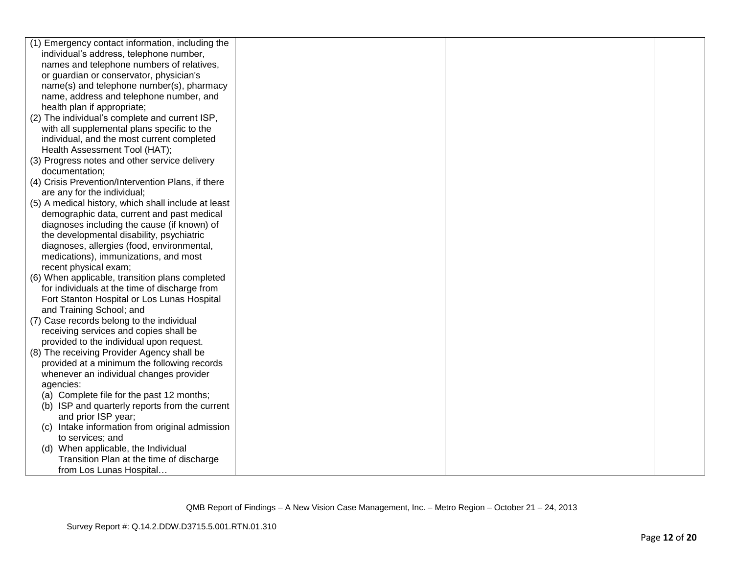| (1) Emergency contact information, including the    |  |  |
|-----------------------------------------------------|--|--|
| individual's address, telephone number,             |  |  |
| names and telephone numbers of relatives,           |  |  |
| or guardian or conservator, physician's             |  |  |
| name(s) and telephone number(s), pharmacy           |  |  |
| name, address and telephone number, and             |  |  |
| health plan if appropriate;                         |  |  |
| (2) The individual's complete and current ISP,      |  |  |
| with all supplemental plans specific to the         |  |  |
| individual, and the most current completed          |  |  |
| Health Assessment Tool (HAT);                       |  |  |
| (3) Progress notes and other service delivery       |  |  |
| documentation;                                      |  |  |
| (4) Crisis Prevention/Intervention Plans, if there  |  |  |
| are any for the individual;                         |  |  |
| (5) A medical history, which shall include at least |  |  |
| demographic data, current and past medical          |  |  |
| diagnoses including the cause (if known) of         |  |  |
| the developmental disability, psychiatric           |  |  |
| diagnoses, allergies (food, environmental,          |  |  |
| medications), immunizations, and most               |  |  |
| recent physical exam;                               |  |  |
| (6) When applicable, transition plans completed     |  |  |
| for individuals at the time of discharge from       |  |  |
| Fort Stanton Hospital or Los Lunas Hospital         |  |  |
| and Training School; and                            |  |  |
| (7) Case records belong to the individual           |  |  |
| receiving services and copies shall be              |  |  |
| provided to the individual upon request.            |  |  |
| (8) The receiving Provider Agency shall be          |  |  |
| provided at a minimum the following records         |  |  |
| whenever an individual changes provider             |  |  |
| agencies:                                           |  |  |
| (a) Complete file for the past 12 months;           |  |  |
| (b) ISP and quarterly reports from the current      |  |  |
| and prior ISP year;                                 |  |  |
| Intake information from original admission<br>(C)   |  |  |
| to services; and                                    |  |  |
| (d) When applicable, the Individual                 |  |  |
| Transition Plan at the time of discharge            |  |  |
| from Los Lunas Hospital                             |  |  |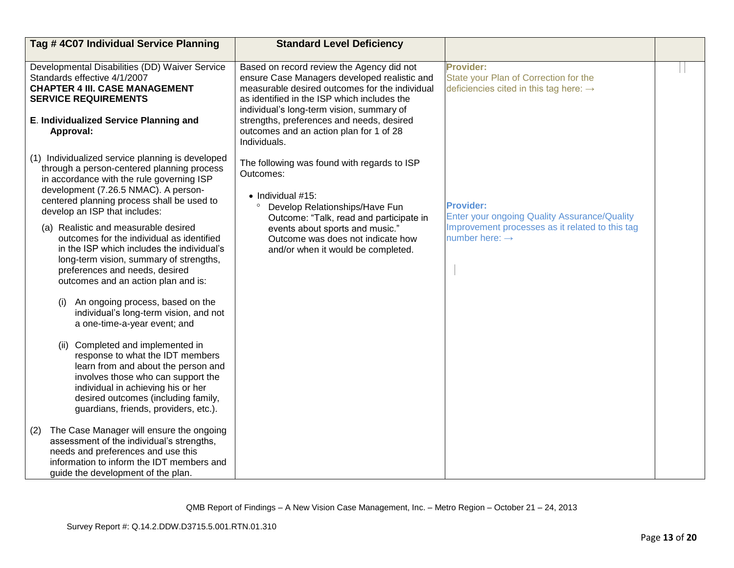| Tag # 4C07 Individual Service Planning                                                                                                                                                                                                                                                                                                                                                                                                                                                                                                                                                                                                                                                                                                                                                                                                                                                                                        | <b>Standard Level Deficiency</b>                                                                                                                                                                                                                                                                                                                |                                                                                                                                                          |  |
|-------------------------------------------------------------------------------------------------------------------------------------------------------------------------------------------------------------------------------------------------------------------------------------------------------------------------------------------------------------------------------------------------------------------------------------------------------------------------------------------------------------------------------------------------------------------------------------------------------------------------------------------------------------------------------------------------------------------------------------------------------------------------------------------------------------------------------------------------------------------------------------------------------------------------------|-------------------------------------------------------------------------------------------------------------------------------------------------------------------------------------------------------------------------------------------------------------------------------------------------------------------------------------------------|----------------------------------------------------------------------------------------------------------------------------------------------------------|--|
| Developmental Disabilities (DD) Waiver Service<br>Standards effective 4/1/2007<br><b>CHAPTER 4 III. CASE MANAGEMENT</b><br><b>SERVICE REQUIREMENTS</b><br>E. Individualized Service Planning and<br>Approval:                                                                                                                                                                                                                                                                                                                                                                                                                                                                                                                                                                                                                                                                                                                 | Based on record review the Agency did not<br>ensure Case Managers developed realistic and<br>measurable desired outcomes for the individual<br>as identified in the ISP which includes the<br>individual's long-term vision, summary of<br>strengths, preferences and needs, desired<br>outcomes and an action plan for 1 of 28<br>Individuals. | Provider:<br>State your Plan of Correction for the<br>deficiencies cited in this tag here: $\rightarrow$                                                 |  |
| (1) Individualized service planning is developed<br>through a person-centered planning process<br>in accordance with the rule governing ISP<br>development (7.26.5 NMAC). A person-<br>centered planning process shall be used to<br>develop an ISP that includes:<br>(a) Realistic and measurable desired<br>outcomes for the individual as identified<br>in the ISP which includes the individual's<br>long-term vision, summary of strengths,<br>preferences and needs, desired<br>outcomes and an action plan and is:<br>An ongoing process, based on the<br>(i)<br>individual's long-term vision, and not<br>a one-time-a-year event; and<br>Completed and implemented in<br>(ii)<br>response to what the IDT members<br>learn from and about the person and<br>involves those who can support the<br>individual in achieving his or her<br>desired outcomes (including family,<br>guardians, friends, providers, etc.). | The following was found with regards to ISP<br>Outcomes:<br>$\bullet$ Individual #15:<br>Develop Relationships/Have Fun<br>Outcome: "Talk, read and participate in<br>events about sports and music."<br>Outcome was does not indicate how<br>and/or when it would be completed.                                                                | <b>Provider:</b><br><b>Enter your ongoing Quality Assurance/Quality</b><br>Improvement processes as it related to this tag<br>number here: $\rightarrow$ |  |
| The Case Manager will ensure the ongoing<br>(2)<br>assessment of the individual's strengths,<br>needs and preferences and use this<br>information to inform the IDT members and<br>guide the development of the plan.                                                                                                                                                                                                                                                                                                                                                                                                                                                                                                                                                                                                                                                                                                         |                                                                                                                                                                                                                                                                                                                                                 |                                                                                                                                                          |  |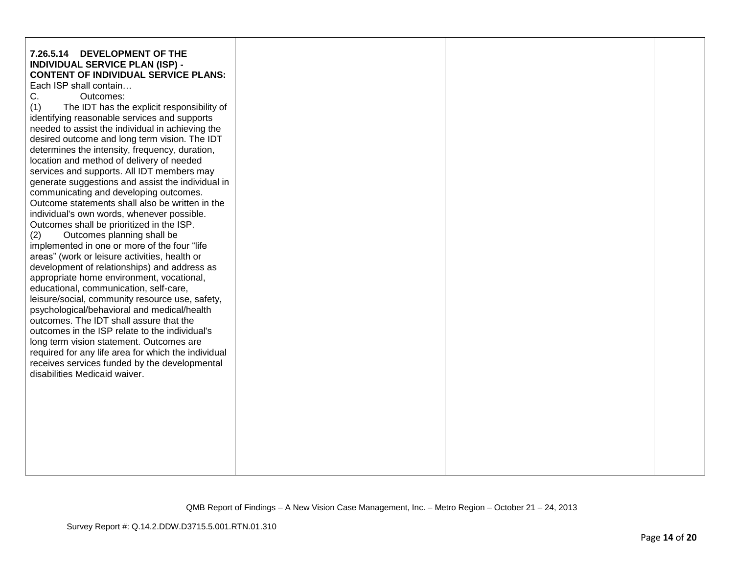| location and method of delivery of needed<br>services and supports. All IDT members may<br>generate suggestions and assist the individual in<br>communicating and developing outcomes.<br>Outcome statements shall also be written in the<br>individual's own words, whenever possible.<br>Outcomes shall be prioritized in the ISP.<br>Outcomes planning shall be<br>(2) | determines the intensity, frequency, duration, |
|---------------------------------------------------------------------------------------------------------------------------------------------------------------------------------------------------------------------------------------------------------------------------------------------------------------------------------------------------------------------------|------------------------------------------------|
|---------------------------------------------------------------------------------------------------------------------------------------------------------------------------------------------------------------------------------------------------------------------------------------------------------------------------------------------------------------------------|------------------------------------------------|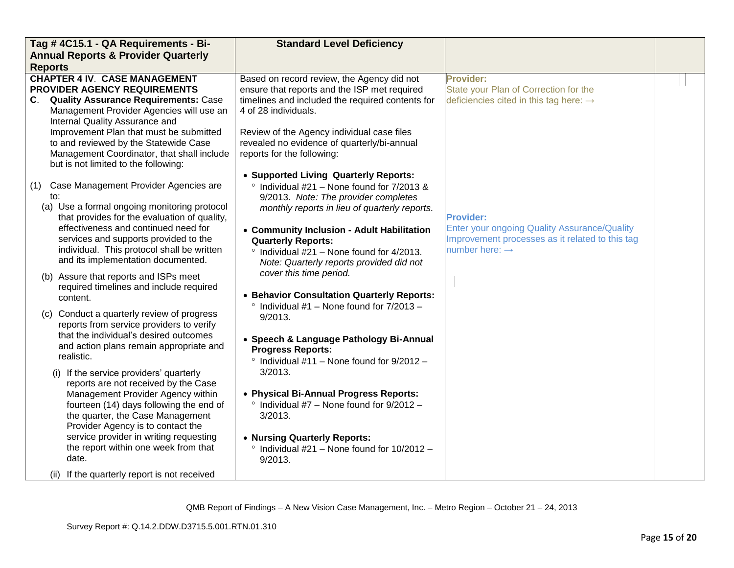| Tag # 4C15.1 - QA Requirements - Bi-                                                                                                                                                                                                                                                                                                                                                                                                                                                                                                                                                                                                                                                                                                                                                                                                                                                                                                                         | <b>Standard Level Deficiency</b>                                                                                                                                                                                                                                                                                                                                                                                                                                                                                                                                                                                                                                                                                                                                                                                                                       |                                                                                                                                                          |  |
|--------------------------------------------------------------------------------------------------------------------------------------------------------------------------------------------------------------------------------------------------------------------------------------------------------------------------------------------------------------------------------------------------------------------------------------------------------------------------------------------------------------------------------------------------------------------------------------------------------------------------------------------------------------------------------------------------------------------------------------------------------------------------------------------------------------------------------------------------------------------------------------------------------------------------------------------------------------|--------------------------------------------------------------------------------------------------------------------------------------------------------------------------------------------------------------------------------------------------------------------------------------------------------------------------------------------------------------------------------------------------------------------------------------------------------------------------------------------------------------------------------------------------------------------------------------------------------------------------------------------------------------------------------------------------------------------------------------------------------------------------------------------------------------------------------------------------------|----------------------------------------------------------------------------------------------------------------------------------------------------------|--|
| <b>Annual Reports &amp; Provider Quarterly</b>                                                                                                                                                                                                                                                                                                                                                                                                                                                                                                                                                                                                                                                                                                                                                                                                                                                                                                               |                                                                                                                                                                                                                                                                                                                                                                                                                                                                                                                                                                                                                                                                                                                                                                                                                                                        |                                                                                                                                                          |  |
| <b>Reports</b>                                                                                                                                                                                                                                                                                                                                                                                                                                                                                                                                                                                                                                                                                                                                                                                                                                                                                                                                               |                                                                                                                                                                                                                                                                                                                                                                                                                                                                                                                                                                                                                                                                                                                                                                                                                                                        |                                                                                                                                                          |  |
| <b>CHAPTER 4 IV. CASE MANAGEMENT</b><br>PROVIDER AGENCY REQUIREMENTS<br>C. Quality Assurance Requirements: Case<br>Management Provider Agencies will use an<br>Internal Quality Assurance and<br>Improvement Plan that must be submitted<br>to and reviewed by the Statewide Case<br>Management Coordinator, that shall include<br>but is not limited to the following:                                                                                                                                                                                                                                                                                                                                                                                                                                                                                                                                                                                      | Based on record review, the Agency did not<br>ensure that reports and the ISP met required<br>timelines and included the required contents for<br>4 of 28 individuals.<br>Review of the Agency individual case files<br>revealed no evidence of quarterly/bi-annual<br>reports for the following:                                                                                                                                                                                                                                                                                                                                                                                                                                                                                                                                                      | <b>Provider:</b><br>State your Plan of Correction for the<br>deficiencies cited in this tag here: $\rightarrow$                                          |  |
| Case Management Provider Agencies are<br>(1)<br>to:<br>(a) Use a formal ongoing monitoring protocol<br>that provides for the evaluation of quality,<br>effectiveness and continued need for<br>services and supports provided to the<br>individual. This protocol shall be written<br>and its implementation documented.<br>(b) Assure that reports and ISPs meet<br>required timelines and include required<br>content.<br>(c) Conduct a quarterly review of progress<br>reports from service providers to verify<br>that the individual's desired outcomes<br>and action plans remain appropriate and<br>realistic.<br>(i) If the service providers' quarterly<br>reports are not received by the Case<br>Management Provider Agency within<br>fourteen (14) days following the end of<br>the quarter, the Case Management<br>Provider Agency is to contact the<br>service provider in writing requesting<br>the report within one week from that<br>date. | • Supported Living Quarterly Reports:<br>Individual #21 - None found for 7/2013 &<br>9/2013. Note: The provider completes<br>monthly reports in lieu of quarterly reports.<br>• Community Inclusion - Adult Habilitation<br><b>Quarterly Reports:</b><br>$\degree$ Individual #21 - None found for 4/2013.<br>Note: Quarterly reports provided did not<br>cover this time period.<br>• Behavior Consultation Quarterly Reports:<br>$\degree$ Individual #1 - None found for 7/2013 -<br>9/2013.<br>• Speech & Language Pathology Bi-Annual<br><b>Progress Reports:</b><br>$\degree$ Individual #11 - None found for 9/2012 -<br>$3/2013$ .<br>• Physical Bi-Annual Progress Reports:<br>$\degree$ Individual #7 - None found for 9/2012 -<br>3/2013.<br>• Nursing Quarterly Reports:<br>$\degree$ Individual #21 – None found for 10/2012 –<br>9/2013. | <b>Provider:</b><br><b>Enter your ongoing Quality Assurance/Quality</b><br>Improvement processes as it related to this tag<br>number here: $\rightarrow$ |  |
| (ii) If the quarterly report is not received                                                                                                                                                                                                                                                                                                                                                                                                                                                                                                                                                                                                                                                                                                                                                                                                                                                                                                                 |                                                                                                                                                                                                                                                                                                                                                                                                                                                                                                                                                                                                                                                                                                                                                                                                                                                        |                                                                                                                                                          |  |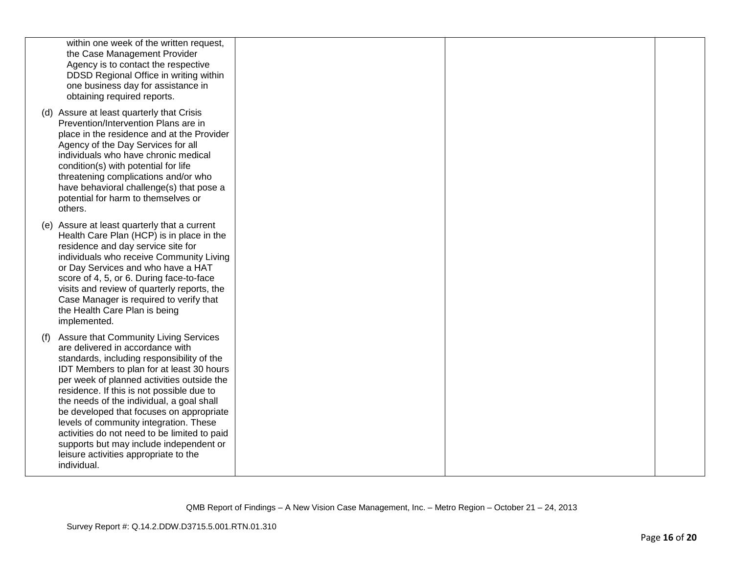| within one week of the written request,<br>the Case Management Provider<br>Agency is to contact the respective<br>DDSD Regional Office in writing within<br>one business day for assistance in<br>obtaining required reports.                                                                                                                                                                                                                                                                                                                                |  |  |
|--------------------------------------------------------------------------------------------------------------------------------------------------------------------------------------------------------------------------------------------------------------------------------------------------------------------------------------------------------------------------------------------------------------------------------------------------------------------------------------------------------------------------------------------------------------|--|--|
| (d) Assure at least quarterly that Crisis<br>Prevention/Intervention Plans are in<br>place in the residence and at the Provider<br>Agency of the Day Services for all<br>individuals who have chronic medical<br>condition(s) with potential for life<br>threatening complications and/or who<br>have behavioral challenge(s) that pose a<br>potential for harm to themselves or<br>others.                                                                                                                                                                  |  |  |
| (e) Assure at least quarterly that a current<br>Health Care Plan (HCP) is in place in the<br>residence and day service site for<br>individuals who receive Community Living<br>or Day Services and who have a HAT<br>score of 4, 5, or 6. During face-to-face<br>visits and review of quarterly reports, the<br>Case Manager is required to verify that<br>the Health Care Plan is being<br>implemented.                                                                                                                                                     |  |  |
| Assure that Community Living Services<br>(f)<br>are delivered in accordance with<br>standards, including responsibility of the<br>IDT Members to plan for at least 30 hours<br>per week of planned activities outside the<br>residence. If this is not possible due to<br>the needs of the individual, a goal shall<br>be developed that focuses on appropriate<br>levels of community integration. These<br>activities do not need to be limited to paid<br>supports but may include independent or<br>leisure activities appropriate to the<br>individual. |  |  |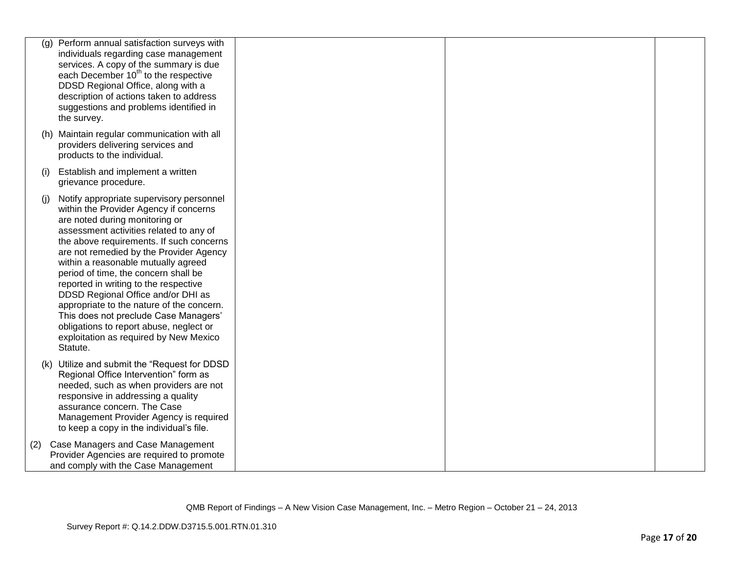| (g) | Perform annual satisfaction surveys with<br>individuals regarding case management<br>services. A copy of the summary is due<br>each December 10 <sup>th</sup> to the respective<br>DDSD Regional Office, along with a<br>description of actions taken to address<br>suggestions and problems identified in<br>the survey.                                                                                                                                                                                                                                                                                   |  |  |
|-----|-------------------------------------------------------------------------------------------------------------------------------------------------------------------------------------------------------------------------------------------------------------------------------------------------------------------------------------------------------------------------------------------------------------------------------------------------------------------------------------------------------------------------------------------------------------------------------------------------------------|--|--|
|     | (h) Maintain regular communication with all<br>providers delivering services and<br>products to the individual.                                                                                                                                                                                                                                                                                                                                                                                                                                                                                             |  |  |
| (i) | Establish and implement a written<br>grievance procedure.                                                                                                                                                                                                                                                                                                                                                                                                                                                                                                                                                   |  |  |
| (i) | Notify appropriate supervisory personnel<br>within the Provider Agency if concerns<br>are noted during monitoring or<br>assessment activities related to any of<br>the above requirements. If such concerns<br>are not remedied by the Provider Agency<br>within a reasonable mutually agreed<br>period of time, the concern shall be<br>reported in writing to the respective<br>DDSD Regional Office and/or DHI as<br>appropriate to the nature of the concern.<br>This does not preclude Case Managers'<br>obligations to report abuse, neglect or<br>exploitation as required by New Mexico<br>Statute. |  |  |
|     | (k) Utilize and submit the "Request for DDSD<br>Regional Office Intervention" form as<br>needed, such as when providers are not<br>responsive in addressing a quality<br>assurance concern. The Case<br>Management Provider Agency is required<br>to keep a copy in the individual's file.                                                                                                                                                                                                                                                                                                                  |  |  |
| (2) | Case Managers and Case Management<br>Provider Agencies are required to promote<br>and comply with the Case Management                                                                                                                                                                                                                                                                                                                                                                                                                                                                                       |  |  |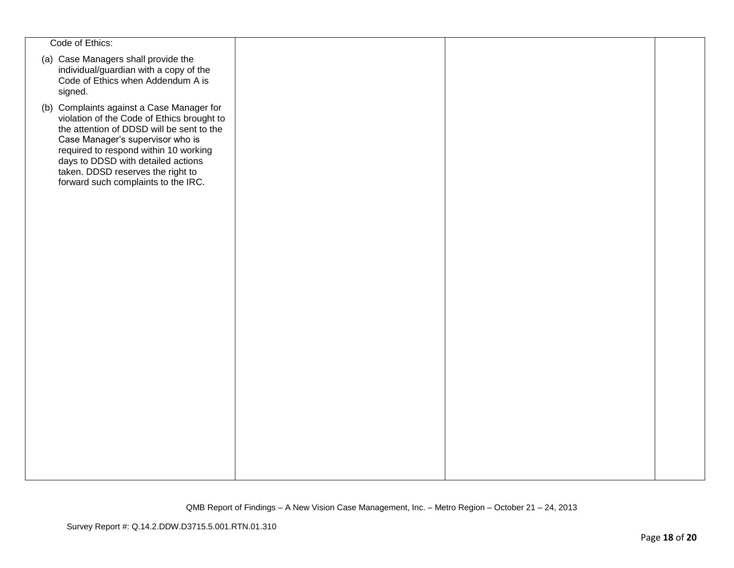| Code of Ethics:                                                                                                                                                                                                                                                                                                                     |  |  |
|-------------------------------------------------------------------------------------------------------------------------------------------------------------------------------------------------------------------------------------------------------------------------------------------------------------------------------------|--|--|
| (a) Case Managers shall provide the<br>individual/guardian with a copy of the<br>Code of Ethics when Addendum A is<br>signed.                                                                                                                                                                                                       |  |  |
| (b) Complaints against a Case Manager for<br>violation of the Code of Ethics brought to<br>the attention of DDSD will be sent to the<br>Case Manager's supervisor who is<br>required to respond within 10 working<br>days to DDSD with detailed actions<br>taken. DDSD reserves the right to<br>forward such complaints to the IRC. |  |  |
|                                                                                                                                                                                                                                                                                                                                     |  |  |
|                                                                                                                                                                                                                                                                                                                                     |  |  |
|                                                                                                                                                                                                                                                                                                                                     |  |  |
|                                                                                                                                                                                                                                                                                                                                     |  |  |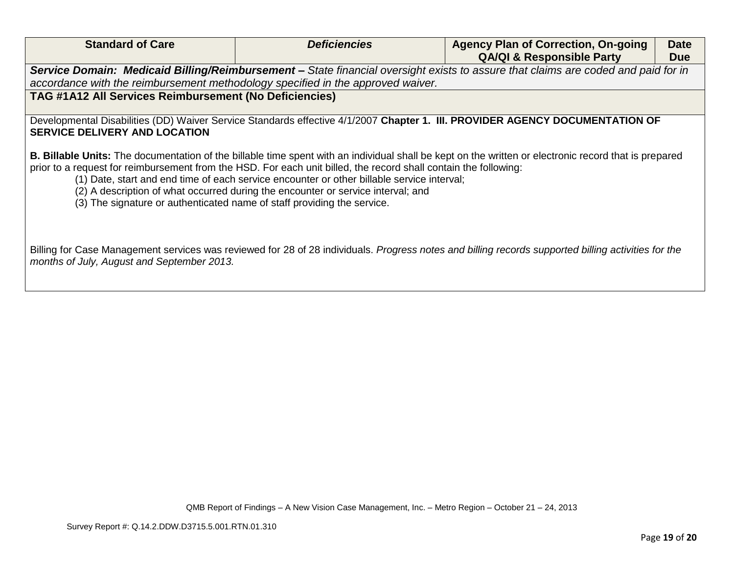| <b>Standard of Care</b>                                                                                                                                                                                              | <i><b>Deficiencies</b></i>                                                                                                                                                     | <b>Agency Plan of Correction, On-going</b>                                                                                                                   | <b>Date</b> |  |  |
|----------------------------------------------------------------------------------------------------------------------------------------------------------------------------------------------------------------------|--------------------------------------------------------------------------------------------------------------------------------------------------------------------------------|--------------------------------------------------------------------------------------------------------------------------------------------------------------|-------------|--|--|
|                                                                                                                                                                                                                      |                                                                                                                                                                                | <b>QA/QI &amp; Responsible Party</b>                                                                                                                         | <b>Due</b>  |  |  |
| Service Domain: Medicaid Billing/Reimbursement - State financial oversight exists to assure that claims are coded and paid for in<br>accordance with the reimbursement methodology specified in the approved waiver. |                                                                                                                                                                                |                                                                                                                                                              |             |  |  |
| <b>TAG #1A12 All Services Reimbursement (No Deficiencies)</b>                                                                                                                                                        |                                                                                                                                                                                |                                                                                                                                                              |             |  |  |
| <b>SERVICE DELIVERY AND LOCATION</b>                                                                                                                                                                                 |                                                                                                                                                                                | Developmental Disabilities (DD) Waiver Service Standards effective 4/1/2007 Chapter 1. III. PROVIDER AGENCY DOCUMENTATION OF                                 |             |  |  |
| prior to a request for reimbursement from the HSD. For each unit billed, the record shall contain the following:<br>(3) The signature or authenticated name of staff providing the service.                          | (1) Date, start and end time of each service encounter or other billable service interval;<br>(2) A description of what occurred during the encounter or service interval; and | <b>B. Billable Units:</b> The documentation of the billable time spent with an individual shall be kept on the written or electronic record that is prepared |             |  |  |
| Billing for Case Management services was reviewed for 28 of 28 individuals. Progress notes and billing records supported billing activities for the<br>months of July, August and September 2013.                    |                                                                                                                                                                                |                                                                                                                                                              |             |  |  |